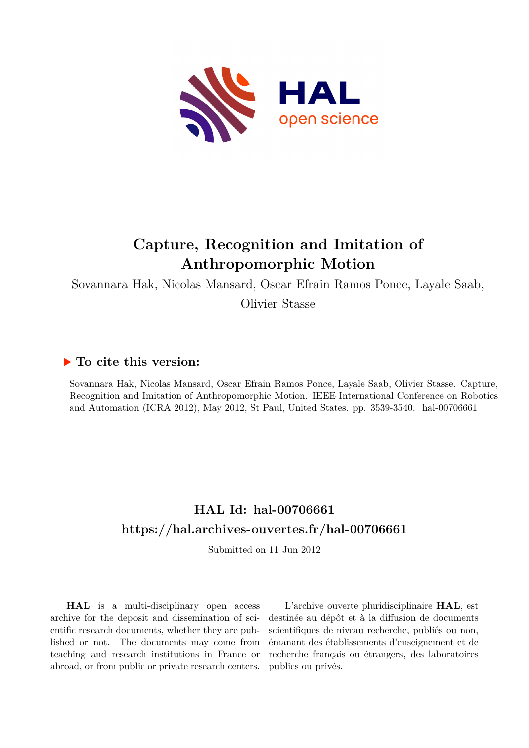

# **Capture, Recognition and Imitation of Anthropomorphic Motion**

Sovannara Hak, Nicolas Mansard, Oscar Efrain Ramos Ponce, Layale Saab,

Olivier Stasse

## **To cite this version:**

Sovannara Hak, Nicolas Mansard, Oscar Efrain Ramos Ponce, Layale Saab, Olivier Stasse. Capture, Recognition and Imitation of Anthropomorphic Motion. IEEE International Conference on Robotics and Automation (ICRA 2012), May 2012, St Paul, United States. pp. 3539-3540. hal-00706661

## **HAL Id: hal-00706661 <https://hal.archives-ouvertes.fr/hal-00706661>**

Submitted on 11 Jun 2012

**HAL** is a multi-disciplinary open access archive for the deposit and dissemination of scientific research documents, whether they are published or not. The documents may come from teaching and research institutions in France or abroad, or from public or private research centers.

L'archive ouverte pluridisciplinaire **HAL**, est destinée au dépôt et à la diffusion de documents scientifiques de niveau recherche, publiés ou non, émanant des établissements d'enseignement et de recherche français ou étrangers, des laboratoires publics ou privés.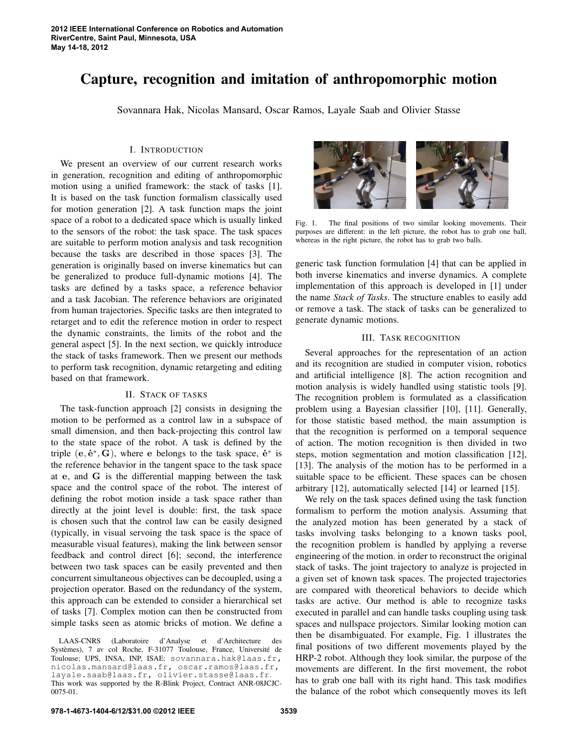### **Capture, recognition and imitation of anthropomorphic motion**

Sovannara Hak, Nicolas Mansard, Oscar Ramos, Layale Saab and Olivier Stasse

#### I. INTRODUCTION

We present an overview of our current research works in generation, recognition and editing of anthropomorphic motion using a unified framework: the stack of tasks [1]. It is based on the task function formalism classically used for motion generation [2]. A task function maps the joint space of a robot to a dedicated space which is usually linked to the sensors of the robot: the task space. The task spaces are suitable to perform motion analysis and task recognition because the tasks are described in those spaces [3]. The generation is originally based on inverse kinematics but can be generalized to produce full-dynamic motions [4]. The tasks are defined by a tasks space, a reference behavior and a task Jacobian. The reference behaviors are originated from human trajectories. Specific tasks are then integrated to retarget and to edit the reference motion in order to respect the dynamic constraints, the limits of the robot and the general aspect [5]. In the next section, we quickly introduce the stack of tasks framework. Then we present our methods to perform task recognition, dynamic retargeting and editing based on that framework.

#### II. STACK OF TASKS

The task-function approach [2] consists in designing the motion to be performed as a control law in a subspace of small dimension, and then back-projecting this control law to the state space of the robot. A task is defined by the triple  $(e, e^*, G)$ , where e belongs to the task space,  $e^*$  is the reference behavior in the tangent space to the task space at e, and G is the differential mapping between the task space and the control space of the robot. The interest of defining the robot motion inside a task space rather than directly at the joint level is double: first, the task space is chosen such that the control law can be easily designed (typically, in visual servoing the task space is the space of measurable visual features), making the link between sensor feedback and control direct [6]; second, the interference between two task spaces can be easily prevented and then concurrent simultaneous objectives can be decoupled, using a projection operator. Based on the redundancy of the system, this approach can be extended to consider a hierarchical set of tasks [7]. Complex motion can then be constructed from simple tasks seen as atomic bricks of motion. We define a



Fig. 1. The final positions of two similar looking movements. Their purposes are different: in the left picture, the robot has to grab one ball, whereas in the right picture, the robot has to grab two balls.

generic task function formulation [4] that can be applied in both inverse kinematics and inverse dynamics. A complete implementation of this approach is developed in [1] under the name *Stack of Tasks*. The structure enables to easily add or remove a task. The stack of tasks can be generalized to generate dynamic motions.

#### III. TASK RECOGNITION

Several approaches for the representation of an action and its recognition are studied in computer vision, robotics and artificial intelligence [8]. The action recognition and motion analysis is widely handled using statistic tools [9]. The recognition problem is formulated as a classification problem using a Bayesian classifier [10], [11]. Generally, for those statistic based method, the main assumption is that the recognition is performed on a temporal sequence of action. The motion recognition is then divided in two steps, motion segmentation and motion classification [12], [13]. The analysis of the motion has to be performed in a suitable space to be efficient. These spaces can be chosen arbitrary [12], automatically selected [14] or learned [15].

We rely on the task spaces defined using the task function formalism to perform the motion analysis. Assuming that the analyzed motion has been generated by a stack of tasks involving tasks belonging to a known tasks pool, the recognition problem is handled by applying a reverse engineering of the motion. in order to reconstruct the original stack of tasks. The joint trajectory to analyze is projected in a given set of known task spaces. The projected trajectories are compared with theoretical behaviors to decide which tasks are active. Our method is able to recognize tasks executed in parallel and can handle tasks coupling using task spaces and nullspace projectors. Similar looking motion can then be disambiguated. For example, Fig. 1 illustrates the final positions of two different movements played by the HRP-2 robot. Although they look similar, the purpose of the movements are different. In the first movement, the robot has to grab one ball with its right hand. This task modifies the balance of the robot which consequently moves its left

LAAS-CNRS (Laboratoire d'Analyse et d'Architecture des Systèmes), 7 av col Roche, F-31077 Toulouse, France, Université de Toulouse; UPS, INSA, INP, ISAE: sovannara.hak@laas.fr, nicolas.mansard@laas.fr, oscar.ramos@laas.fr, layale.saab@laas.fr, olivier.stasse@laas.fr. This work was supported by the R-Blink Project, Contract ANR-08JCJC-0075-01.